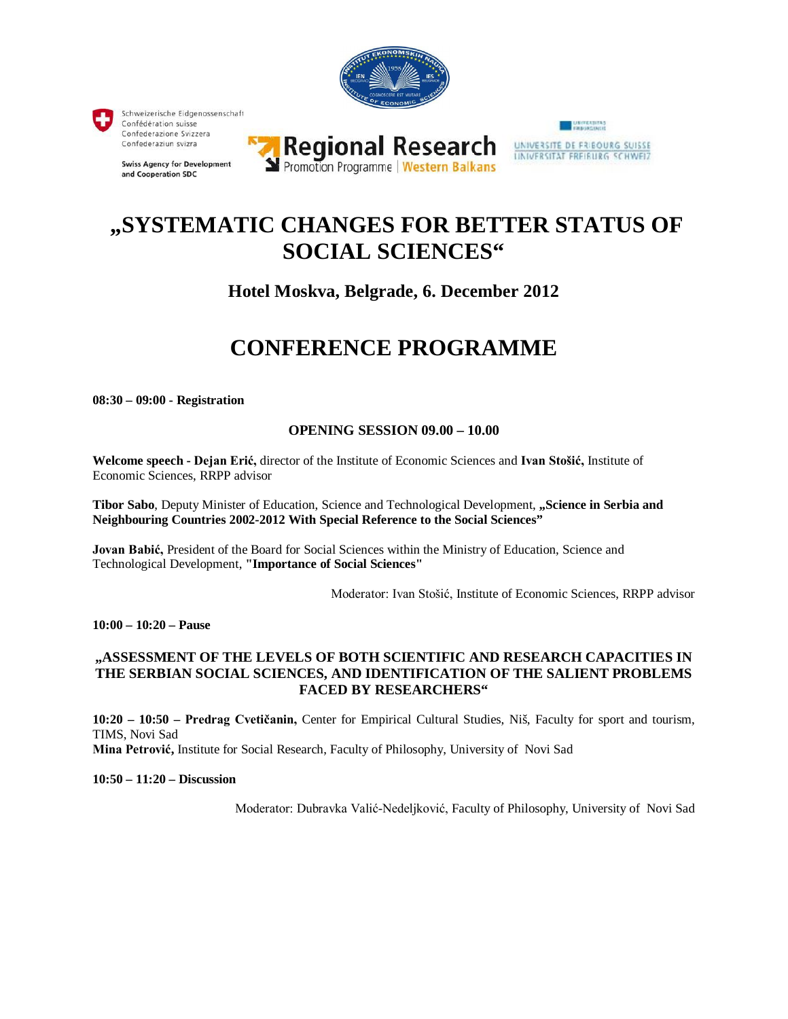

# **"SYSTEMATIC CHANGES FOR BETTER STATUS OF SOCIAL SCIENCES"**

## **Hotel Moskva, Belgrade, 6. December 2012**

## **CONFERENCE PROGRAMME**

**08:30 – 09:00 - Registration**

## **OPENING SESSION 09.00 – 10.00**

**Welcome speech - Dejan Erić,** director of the Institute of Economic Sciences and **Ivan Stošić,** Institute of Economic Sciences, RRPP advisor

**Tibor Sabo**, Deputy Minister of Education, Science and Technological Development, **"Science in Serbia and Neighbouring Countries 2002-2012 With Special Reference to the Social Sciences"**

**Jovan Babić,** President of the Board for Social Sciences within the Ministry of Education, Science and Technological Development, **"Importance of Social Sciences"**

Moderator: Ivan Stošić, Institute of Economic Sciences, RRPP advisor

**10:00 – 10:20 – Pause**

## **"ASSESSMENT OF THE LEVELS OF BOTH SCIENTIFIC AND RESEARCH CAPACITIES IN THE SERBIAN SOCIAL SCIENCES, AND IDENTIFICATION OF THE SALIENT PROBLEMS FACED BY RESEARCHERS"**

**10:20 – 10:50 – Predrag Cvetičanin,** Center for Empirical Cultural Studies, Niš, Faculty for sport and tourism, TIMS, Novi Sad

**Mina Petrović,** Institute for Social Research, Faculty of Philosophy, University of Novi Sad

**10:50 – 11:20 – Discussion**

Moderator: Dubravka Valić-Nedeljković, Faculty of Philosophy, University of Novi Sad